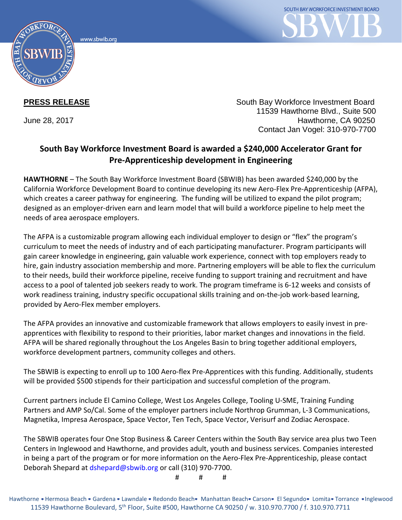



**PRESS RELEASE South Bay Workforce Investment Board** South Bay Workforce Investment Board 11539 Hawthorne Blvd., Suite 500 June 28, 2017 Hawthorne, CA 90250 Contact Jan Vogel: 310-970-7700

## **South Bay Workforce Investment Board is awarded a \$240,000 Accelerator Grant for Pre-Apprenticeship development in Engineering**

**HAWTHORNE** – The South Bay Workforce Investment Board (SBWIB) has been awarded \$240,000 by the California Workforce Development Board to continue developing its new Aero-Flex Pre-Apprenticeship (AFPA), which creates a career pathway for engineering. The funding will be utilized to expand the pilot program; designed as an employer-driven earn and learn model that will build a workforce pipeline to help meet the needs of area aerospace employers.

The AFPA is a customizable program allowing each individual employer to design or "flex" the program's curriculum to meet the needs of industry and of each participating manufacturer. Program participants will gain career knowledge in engineering, gain valuable work experience, connect with top employers ready to hire, gain industry association membership and more. Partnering employers will be able to flex the curriculum to their needs, build their workforce pipeline, receive funding to support training and recruitment and have access to a pool of talented job seekers ready to work. The program timeframe is 6-12 weeks and consists of work readiness training, industry specific occupational skills training and on-the-job work-based learning, provided by Aero-Flex member employers.

The AFPA provides an innovative and customizable framework that allows employers to easily invest in preapprentices with flexibility to respond to their priorities, labor market changes and innovations in the field. AFPA will be shared regionally throughout the Los Angeles Basin to bring together additional employers, workforce development partners, community colleges and others.

The SBWIB is expecting to enroll up to 100 Aero-flex Pre-Apprentices with this funding. Additionally, students will be provided \$500 stipends for their participation and successful completion of the program.

Current partners include El Camino College, West Los Angeles College, Tooling U-SME, Training Funding Partners and AMP So/Cal. Some of the employer partners include Northrop Grumman, L-3 Communications, Magnetika, Impresa Aerospace, Space Vector, Ten Tech, Space Vector, Verisurf and Zodiac Aerospace.

The SBWIB operates four One Stop Business & Career Centers within the South Bay service area plus two Teen Centers in Inglewood and Hawthorne, and provides adult, youth and business services. Companies interested in being a part of the program or for more information on the Aero-Flex Pre-Apprenticeship, please contact Deborah Shepard at dshepard@sbwib.org or call (310) 970-7700.

# # #